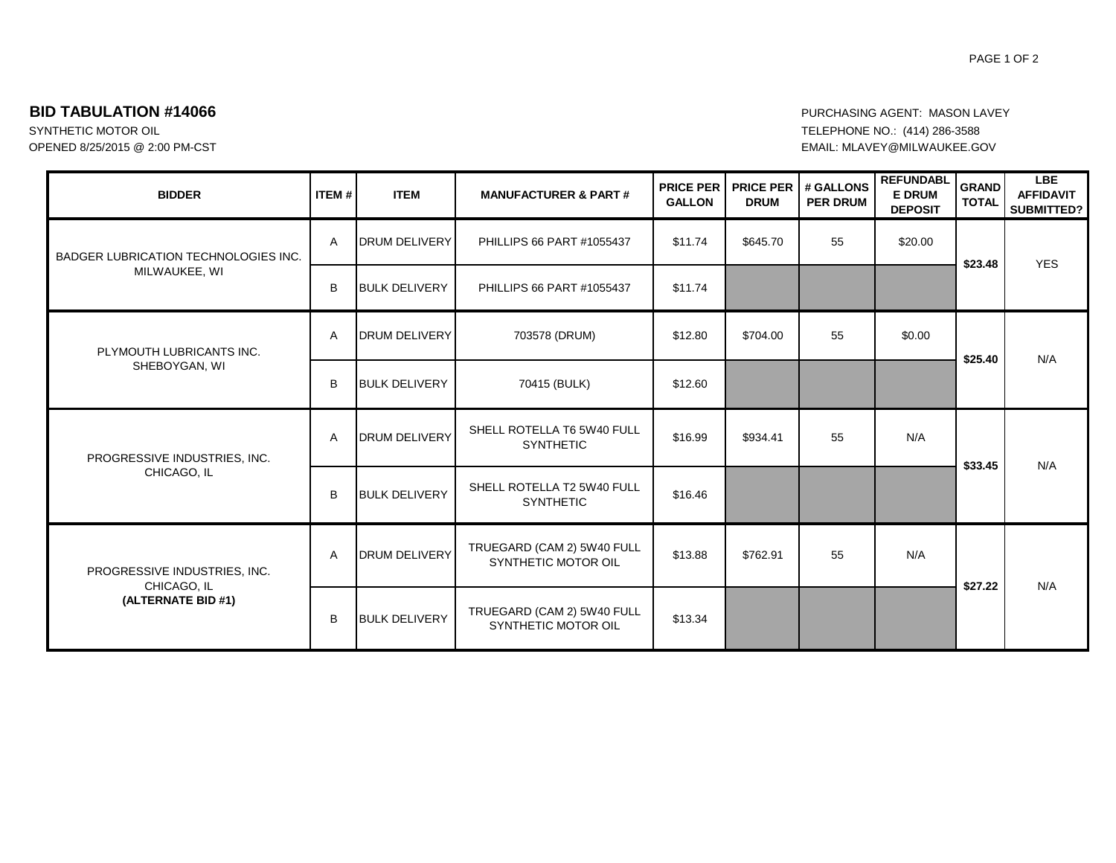## **BID TABULATION #14066 PURCHASING AGENT: MASON LAVEY**

OPENED 8/25/2015 @ 2:00 PM-CST EMAIL: MLAVEY@MILWAUKEE.GOV

## SYNTHETIC MOTOR OIL **EXECUTE OF A SECUTE 1200** TELEPHONE NO.: (414) 286-3588

| <b>BIDDER</b>                                                     | <b>ITEM#</b> | <b>ITEM</b>          | <b>MANUFACTURER &amp; PART#</b>                   | <b>PRICE PER</b><br><b>GALLON</b> | <b>PRICE PER</b><br><b>DRUM</b> | # GALLONS<br><b>PER DRUM</b> | <b>REFUNDABL</b><br><b>E DRUM</b><br><b>DEPOSIT</b> | <b>GRAND</b><br><b>TOTAL</b> | <b>LBE</b><br><b>AFFIDAVIT</b><br><b>SUBMITTED?</b> |
|-------------------------------------------------------------------|--------------|----------------------|---------------------------------------------------|-----------------------------------|---------------------------------|------------------------------|-----------------------------------------------------|------------------------------|-----------------------------------------------------|
| BADGER LUBRICATION TECHNOLOGIES INC.<br>MILWAUKEE, WI             | A            | <b>DRUM DELIVERY</b> | PHILLIPS 66 PART #1055437                         | \$11.74                           | \$645.70                        | 55                           | \$20.00                                             | \$23.48                      | <b>YES</b>                                          |
|                                                                   | B            | <b>BULK DELIVERY</b> | PHILLIPS 66 PART #1055437                         | \$11.74                           |                                 |                              |                                                     |                              |                                                     |
| PLYMOUTH LUBRICANTS INC.<br>SHEBOYGAN, WI                         | A            | <b>DRUM DELIVERY</b> | 703578 (DRUM)                                     | \$12.80                           | \$704.00                        | 55                           | \$0.00                                              | \$25.40                      | N/A                                                 |
|                                                                   | B            | <b>BULK DELIVERY</b> | 70415 (BULK)                                      | \$12.60                           |                                 |                              |                                                     |                              |                                                     |
| PROGRESSIVE INDUSTRIES, INC.<br>CHICAGO, IL                       | Α            | <b>DRUM DELIVERY</b> | SHELL ROTELLA T6 5W40 FULL<br><b>SYNTHETIC</b>    | \$16.99                           | \$934.41                        | 55                           | N/A                                                 | \$33.45                      | N/A                                                 |
|                                                                   | B            | <b>BULK DELIVERY</b> | SHELL ROTELLA T2 5W40 FULL<br><b>SYNTHETIC</b>    | \$16.46                           |                                 |                              |                                                     |                              |                                                     |
| PROGRESSIVE INDUSTRIES, INC.<br>CHICAGO, IL<br>(ALTERNATE BID #1) | Α            | <b>DRUM DELIVERY</b> | TRUEGARD (CAM 2) 5W40 FULL<br>SYNTHETIC MOTOR OIL | \$13.88                           | \$762.91                        | 55                           | N/A                                                 | \$27.22                      | N/A                                                 |
|                                                                   | B            | <b>BULK DELIVERY</b> | TRUEGARD (CAM 2) 5W40 FULL<br>SYNTHETIC MOTOR OIL | \$13.34                           |                                 |                              |                                                     |                              |                                                     |